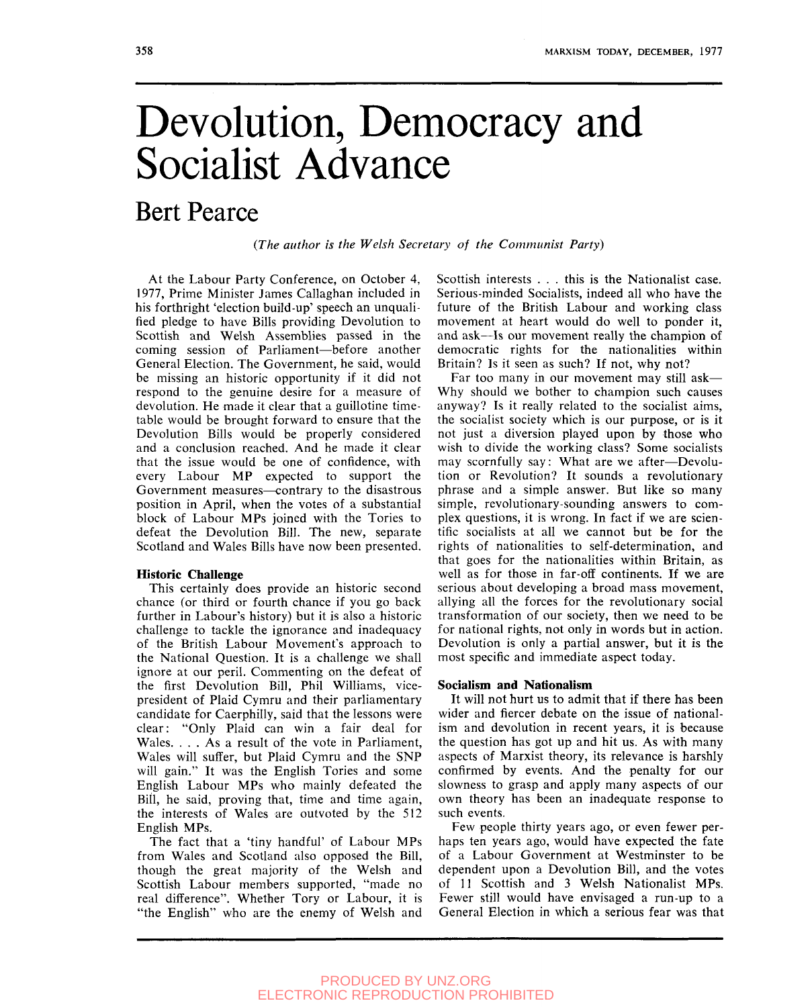# Devolution, Democracy and Socialist Advance

# Bert Pearce

# *(The author is the Welsh Secretary of the Communist Party)*

At the Labour Party Conference, on October 4, 1977, Prime Minister James Callaghan included in his forthright 'election build-up' speech an unqualified pledge to have Bills providing Devolution to Scottish and Welsh Assemblies passed in the coming session of Parliament—before another General Election. The Government, he said, would be missing an historic opportunity if it did not respond to the genuine desire for a measure of devolution. He made it clear that a guillotine timetable would be brought forward to ensure that the Devolution Bills would be properly considered and a conclusion reached. And he made it clear that the issue would be one of confidence, with every Labour MP expected to support the Government measures—contrary to the disastrous position in April, when the votes of a substantial block of Labour MPs joined with the Tories to defeat the Devolution Bill. The new, separate Scotland and Wales Bills have now been presented.

#### **Historic Challenge**

This certainly does provide an historic second chance (or third or fourth chance if you go back further in Labour's history) but it is also a historic challenge to tackle the ignorance and inadequacy of the British Labour Movement's approach to the National Question. It is a challenge we shall ignore at our peril. Commenting on the defeat of the first Devolution Bill, Phil Williams, vicepresident of Plaid Cymru and their parliamentary candidate for Caerphilly, said that the lessons were clear: "Only Plaid can win a fair deal for Wales. . . . As a result of the vote in Parliament, Wales will suffer, but Plaid Cymru and the SNP will gain." It was the English Tories and some English Labour MPs who mainly defeated the Bill, he said, proving that, time and time again, the interests of Wales are outvoted by the 512 English MPs.

The fact that a 'tiny handful' of Labour MPs from Wales and Scotland also opposed the Bill, though the great majority of the Welsh and Scottish Labour members supported, "made no real difference". Whether Tory or Labour, it is "the English" who are the enemy of Welsh and Scottish interests . . . this is the Nationalist case. Serious-minded Socialists, indeed all who have the future of the British Labour and working class movement at heart would do well to ponder it, and ask—Is our movement really the champion of democratic rights for the nationalities within Britain? Is it seen as such? If not, why not?

Far too many in our movement may still ask— Why should we bother to champion such causes anyway? Is it really related to the socialist aims, the socialist society which is our purpose, or is it not just a diversion played upon by those who wish to divide the working class? Some socialists may scornfully say; What are we after—Devolution or Revolution? It sounds a revolutionary phrase and a simple answer. But like so many simple, revolutionary-sounding answers to complex questions, it is wrong. In fact if we are scientific socialists at all we cannot but be for the rights of nationalities to self-determination, and that goes for the nationalities within Britain, as well as for those in far-off continents. If we are serious about developing a broad mass movement, allying all the forces for the revolutionary social transformation of our society, then we need to be for national rights, not only in words but in action. Devolution is only a partial answer, but it is the most specific and immediate aspect today.

#### **Socialism and Nationalism**

It will not hurt us to admit that if there has been wider and fiercer debate on the issue of nationalism and devolution in recent years, it is because the question has got up and hit us. As with many aspects of Marxist theory, its relevance is harshly confirmed by events. And the penalty for our slowness to grasp and apply many aspects of our own theory has been an inadequate response to such events.

Few people thirty years ago, or even fewer perhaps ten years ago, would have expected the fate of a Labour Government at Westminster to be dependent upon a Devolution Bill, and the votes of 11 Scottish and 3 Welsh Nationalist MPs. Fewer still would have envisaged a run-up to a General Election in which a serious fear was that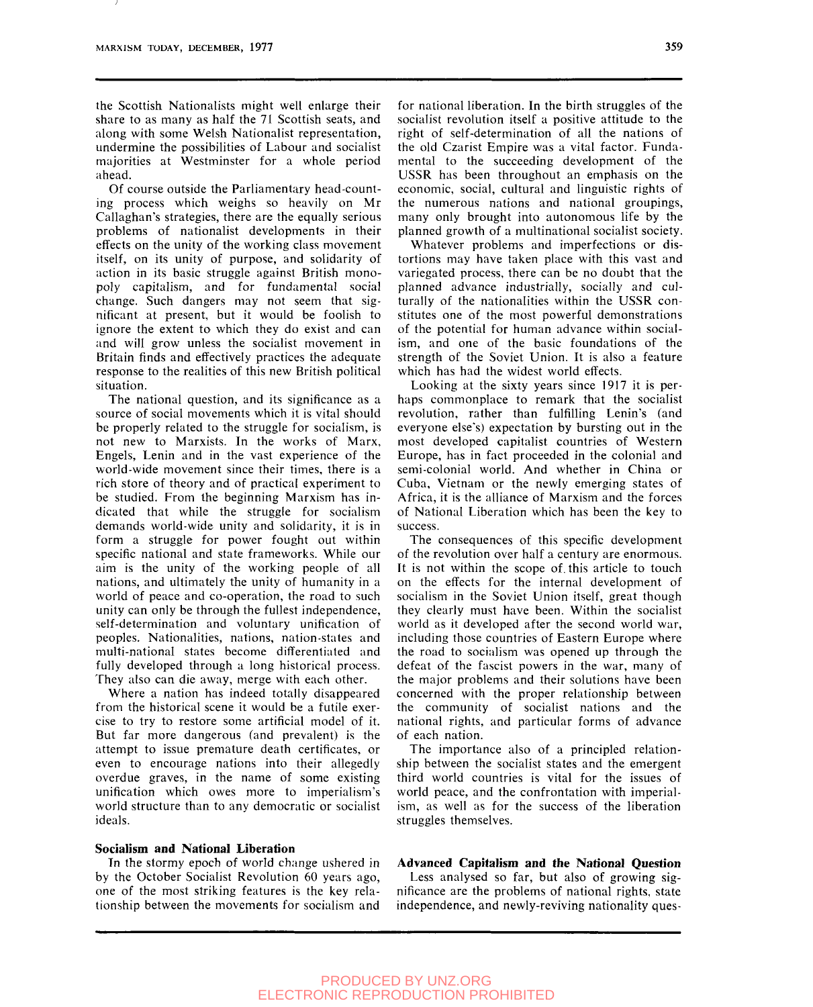the Scottish Nationalists might well enlarge their share to as many as half the 71 Scottish seats, and along with some Welsh Nationalist representation, undermine the possibilities of Labour and socialist majorities at Westminster for a whole period ahead.

Of course outside the Parliamentary head-counting process which weighs so heavily on Mr Callaghan's strategies, there are the equally serious problems of nationalist developments in their effects on the unity of the working class movement itself, on its unity of purpose, and solidarity of action in its basic struggle against British monopoly capitalism, and for fundamental social change. Such dangers may not seem that significant at present, but it would be foolish to ignore the extent to which they do exist and can and will grow unless the socialist movement in Britain finds and effectively practices the adequate response to the realities of this new British political situation.

The national question, and its significance as a source of social movements which it is vital should be properly related to the struggle for socialism, is not new to Marxists. In the works of Marx, Engels, Lenin and in the vast experience of the world-wide movement since their times, there is a rich store of theory and of practical experiment to be studied. From the beginning Marxism has indicated that while the struggle for socialism demands world-wide unity and solidarity, it is in form a struggle for power fought out within specific national and state frameworks. While our aim is the unity of the working people of all nations, and ultimately the unity of humanity in a world of peace and co-operation, the road to such unity can only be through the fullest independence, self-determination and voluntary unification of peoples. Nationalities, nations, nation-states and multi-national states become differentiated and fully developed through a long historical process. They also can die away, merge with each other.

Where a nation has indeed totally disappeared from the historical scene it would be a futile exercise to try to restore some artificial model of it. But far more dangerous (and prevalent) is the attempt to issue premature death certificates, or even to encourage nations into their allegedly overdue graves, in the name of some existing unification which owes more to imperialism's world structure than to any democratic or socialist ideals.

# **Socialism and National Liberation**

In the stormy epoch of world change ushered in by the October Socialist Revolution 60 years ago, one of the most striking features is the key relationship between the movements for socialism and

for national liberation. In the birth struggles of the socialist revolution itself a positive attitude to the right of self-determination of all the nations of the old Czarist Empire was a vital factor. Fundamental to the succeeding development of the USSR has been throughout an emphasis on the economic, social, cultural and linguistic rights of the numerous nations and national groupings, many only brought into autonomous life by the planned growth of a multinational socialist society.

Whatever problems and imperfections or distortions may have taken place with this vast and variegated process, there can be no doubt that the planned advance industrially, socially and culturally of the nationalities within the USSR constitutes one of the most powerful demonstrations of the potential for human advance within socialism, and one of the basic foundations of the strength of the Soviet Union. It is also a feature which has had the widest world effects.

Looking at the sixty years since 1917 it is perhaps commonplace to remark that the socialist revolution, rather than fulfilling Lenin's (and everyone else's) expectation by bursting out in the most developed capitalist countries of Western Europe, has in fact proceeded in the colonial and semi-colonial world. And whether in China or Cuba, Vietnam or the newly emerging states of Africa, it is the alliance of Marxism and the forces of National Liberation which has been the key to success.

The consequences of this specific development of the revolution over half a century are enormous. It is not within the scope of. this article to touch on the effects for the internal development of socialism in the Soviet Union itself, great though they clearly must have been. Within the socialist world as it developed after the second world war, including those countries of Eastern Europe where the road to socialism was opened up through the defeat of the fascist powers in the war, many of the major problems and their solutions have been concerned with the proper relationship between the community of socialist nations and the national rights, and particular forms of advance of each nation.

The importance also of a principled relationship between the socialist states and the emergent third world countries is vital for the issues of world peace, and the confrontation with imperialism, as well as for the success of the liberation struggles themselves.

**Advanced Capitalism and the National Question**  Less analysed so far, but also of growing significance are the problems of national rights, state independence, and newly-reviving nationality ques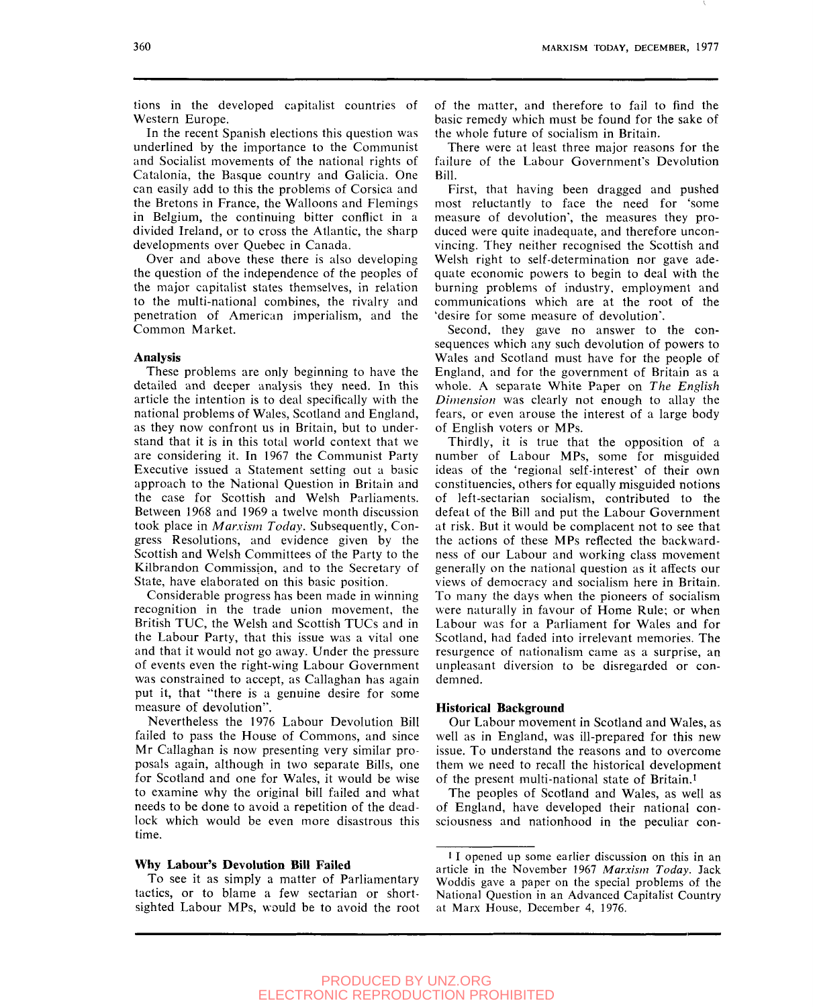tions in the developed capitalist countries of Western Europe.

In the recent Spanish elections this question was underlined by the importance to the Communist and Socialist movements of the national rights of Catalonia, the Basque country and Galicia. One can easily add to this the problems of Corsica and the Bretons in France, the Walloons and Flemings in Belgium, the continuing bitter conflict in a divided Ireland, or to cross the Atlantic, the sharp developments over Quebec in Canada,

Over and above these there is also developing the question of the independence of the peoples of the major capitalist states themselves, in relation to the multi-national combines, the rivalry and penetration of American imperialism, and the Common Market.

# **Analysis**

These problems are only beginning to have the detailed and deeper analysis they need. In this article the intention is to deal specifically with the national problems of Wales, Scotland and England, as they now confront us in Britain, but to understand that it is in this total world context that we are considering it. In 1967 the Communist Party Executive issued a Statement setting out a basic approach to the National Question in Britain and the case for Scottish and Welsh Parliaments. Between 1968 and 1969 a twelve month discussion took place in *Marxism Today.* Subsequently, Congress Resolutions, and evidence given by the Scottish and Welsh Committees of the Party to the Kilbrandon Commission, and to the Secretary of State, have elaborated on this basic position.

Considerable progress has been made in winning recognition in the trade union movement, the British TUC, the Welsh and Scottish TUCs and in the Labour Party, that this issue was a vital one and that it would not go away. Under the pressure of events even the right-wing Labour Government was constrained to accept, as Callaghan has again put it, that "there is a genuine desire for some measure of devolution".

Nevertheless the 1976 Labour Devolution Bill failed to pass the House of Commons, and since Mr Callaghan is now presenting very similar proposals again, although in two separate Bills, one for Scotland and one for Wales, it would be wise to examine why the original bill failed and what needs to be done to avoid a repetition of the deadlock which would be even more disastrous this time.

#### **Why Labour's Devolution Bill Failed**

To see it as simply a matter of Parliamentary tactics, or to blame a few sectarian or shortsighted Labour MPs, would be to avoid the root of the matter, and therefore to fail to find the basic remedy which must be found for the sake of the whole future of socialism in Britain.

There were at least three major reasons for the failure of the Labour Government's Devolution Bill.

First, that having been dragged and pushed most reluctantly to face the need for 'some measure of devolution", the measures they produced were quite inadequate, and therefore unconvincing. They neither recognised the Scottish and Welsh right to self-determination nor gave adequate economic powers to begin to deal with the burning problems of industry, employment and communications which are at the root of the 'desire for some measure of devolution".

Second, they gave no answer to the consequences which any such devolution of powers to Wales and Scotland must have for the people of England, and for the government of Britain as a whole. A separate White Paper on *The English Dimension* was clearly not enough to allay the fears, or even arouse the interest of a large body of English voters or MPs.

Thirdly, it is true that the opposition of a number of Labour MPs, some for misguided ideas of the 'regional self-interest" of their own constituencies, others for equally misguided notions of left-sectarian socialism, contributed to the defeat of the Bill and put the Labour Government at risk. But it would be complacent not to see that the actions of these MPs reflected the backwardness of our Labour and working class movement generally on the national question as it affects our views of democracy and socialism here in Britain. To many the days when the pioneers of socialism were naturally in favour of Home Rule; or when Labour was for a Parliament for Wales and for Scotland, had faded into irrelevant memories. The resurgence of nationalism came as a surprise, an unpleasant diversion to be disregarded or condemned.

# **Historical Background**

Our Labour movement in Scotland and Wales, as well as in England, was ill-prepared for this new issue. To understand the reasons and to overcome them we need to recall the historical development of the present multi-national state of Britain.'

The peoples of Scotland and Wales, as well as of England, have developed their national consciousness and nationhood in the peculiar con-

<sup>&#</sup>x27; I opened up some earlier discussion on this in an article in the November 1967 *Marxism Today.* Jack Woddis gave a paper on the special problems of the National Question in an Advanced Capitalist Country at Marx House, December 4, 1976.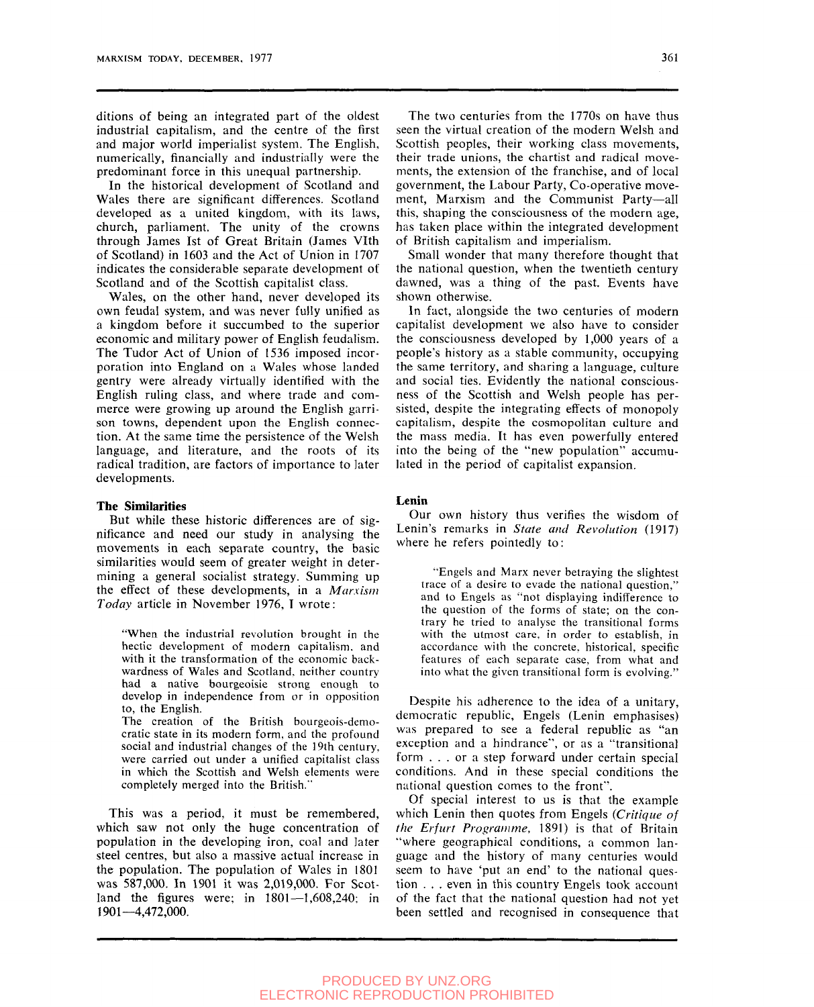ditions of being an integrated part of the oldest industrial capitalism, and the centre of the first and major world imperialist system. The English, numerically, financially and industrially were the predominant force in this unequal partnership.

In the historical development of Scotland and Wales there are significant differences. Scotland developed as a united kingdom, with its laws, church, parliament. The unity of the crowns through James 1st of Great Britain (James Vlth of Scotland) in 1603 and the Act of Union in 1707 indicates the considerable separate development of Scotland and of the Scottish capitalist class.

Wales, on the other hand, never developed its own feudal system, and was never fully unified as a kingdom before it succumbed to the superior economic and mihtary power of English feudalism. The Tudor Act of Union of 1536 imposed incorporation into England on a Wales whose landed gentry were already virtually identified with the English ruling class, and where trade and commerce were growing up around the English garrison towns, dependent upon the English connection. At the same time the persistence of the Welsh language, and literature, and the roots of its radical tradition, are factors of importance to later developments.

#### **The Similarities**

But while these historic dififerences are of significance and need our study in analysing the movements in each separate country, the basic similarities would seem of greater weight in determining a general socialist strategy. Summing up the effect of these developments, in a *Marxism Today* article in November 1976, I wrote:

"When the industrial revolution brought in the hectic development of modern capitalism, and with it the transformation of the economic backwardness of Wales and Scotland, neither country had a native bourgeoisie strong enough to develop in independence from or in opposition to, the English.

The creation of the British bourgeois-democratic state in its modern form, and the profound social and industrial changes of the 19th century, were carried out under a unified capitalist class in which the Scottish and Welsh elements were completely merged into the British."

This was a period, it must be remembered, which saw not only the huge concentration of population in the developing iron, coal and later steel centres, but also a massive actual increase in the population. The population of Wales in 1801 was 587,000. In 1901 it was 2,019,000. For Scotland the figures were; in 1801—1,608,240; in 1901—4,472,000.

The two centuries from the 1770s on have thus seen the virtual creation of the modern Welsh and Scottish peoples, their working class movements, their trade unions, the chartist and radical movements, the extension of the franchise, and of local government, the Labour Party, Co-operative movement, Marxism and the Communist Party—all this, shaping the consciousness of the modern age, has taken place within the integrated development of British capitalism and imperialism.

Small wonder that many therefore thought that the national question, when the twentieth century dawned, was a thing of the past. Events have shown otherwise.

In fact, alongside the two centuries of modern capitalist development we also have to consider the consciousness developed by 1,000 years of a people's history as a stable community, occupying the same territory, and sharing a language, culture and social ties. Evidently the national consciousness of the Scottish and Welsh people has persisted, despite the integrating effects of monopoly capitalism, despite the cosmopolitan culture and the mass media. It has even powerfully entered into the being of the "new population" accumulated in the period of capitalist expansion.

# **Lenin**

Our own history thus verifies the wisdom of Lenin's remarks in *State and Revolution* (1917) where he refers pointedly to:

"Engels and Marx never betraying the slightest trace of a desire to evade the national question," and to Engels as "not displaying indifference to the question of the forms of state; on the contrary he tried to analyse the transitional forms with the utmost care, in order to establish, in accordance with the concrete, historical, specific features of each separate case, from what and into what the given transitional form is evolving."

Despite his adherence to the idea of a unitary, democratic republic, Engels (Lenin emphasises) was prepared to see a federal republic as "an exception and a hindrance", or as a "transitional form .. . or a step forward under certain special conditions. And in these special conditions the national question comes to the front".

Of special interest to us is that the example which Lenin then quotes from Engels *{Critique of the Erfurt Programme,* 1891) is that of Britain "where geographical conditions, a common language and the history of many centuries would seem to have 'put an end' to the national question . . . even in this country Engels took account of the fact that the national question had not yet been settled and recognised in consequence that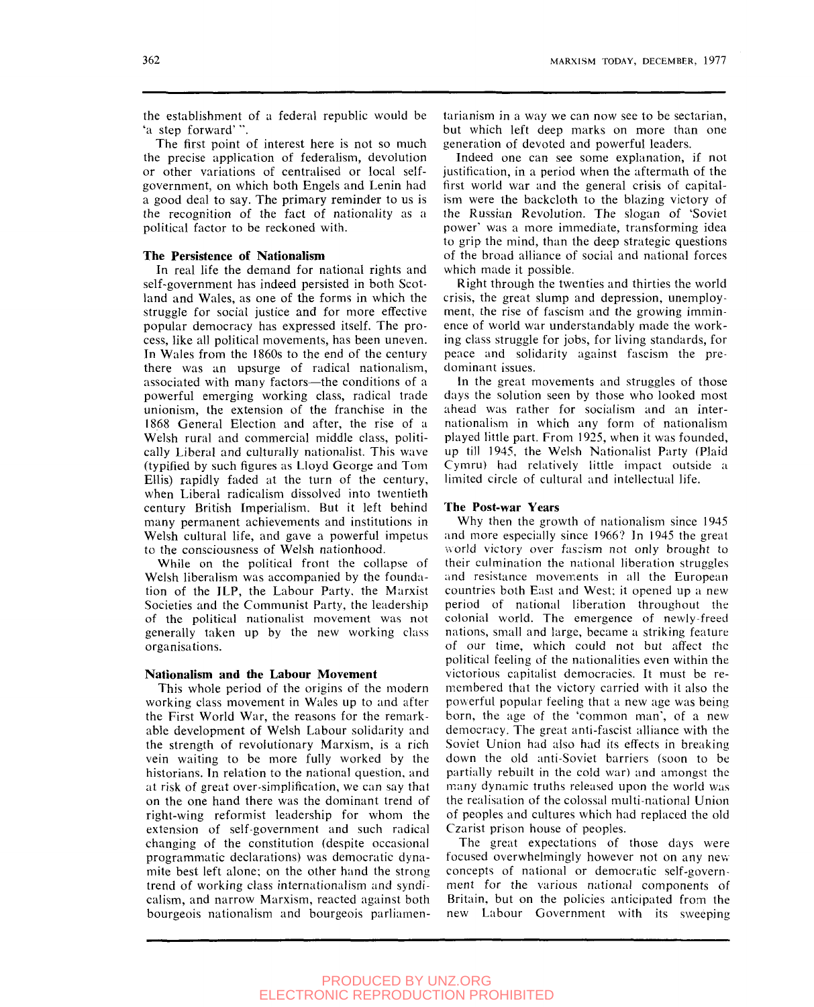the establishment of a federal republic would be 'a step forward' ".

The first point of interest here is not so much the precise application of federalism, devolution or other variations of centralised or local selfgovernment, on which both Engels and Lenin had a good deal to say. The primary reminder to us is the recognition of the fact of nationality as a political factor to be reckoned with.

# **The Persistence of Nationalism**

In real life the demand for national rights and self-government has indeed persisted in both Scotland and Wales, as one of the forms in which the struggle for social justice and for more effective popular democracy has expressed itself. The process, like all political movements, has been uneven. In Wales from the 1860s to the end of the century there was an upsurge of radical nationalism, associated with many factors—the conditions of a powerful emerging working class, radical trade unionism, the extension of the franchise in the 1868 General Election and after, the rise of a Welsh rural and commercial middle class, politically Liberal and culturally nationalist. This wave (typified by such figures as Lloyd George and Tom Ellis) rapidly faded at the turn of the century, when Liberal radicalism dissolved into twentieth century British Imperialism. But it left behind many permanent achievements and institutions in Welsh cultural life, and gave a powerful impetus to the consciousness of Welsh nationhood.

While on the political front the collapse of Welsh liberalism was accompanied by the foundation of the ILP, the Labour Party, the Marxist Societies and the Communist Party, the leadership of the political nationalist movement was not generally taken up by the new working class organisations.

#### **Nationalism and the Labour Movement**

This whole period of the origins of the modern working class movement in Wales up to and after the First World War, the reasons for the remarkable development of Welsh Labour solidarity and the strength of revolutionary Marxism, is a rich vein waiting to be more fully worked by the historians. In relation to the national question, and at risk of great over-simplification, we can say that on the one hand there was the dominant trend of right-wing reformist leadership for whom the extension of self-government and such radical changing of the constitution (despite occasional programmatic declarations) was democratic dynamite best left alone; on the other hand the strong trend of working class internationalism and syndicalism, and narrow Marxism, reacted against both bourgeois nationalism and bourgeois parliamentarianism in a way we can now see to be sectarian, but which left deep marks on more than one generation of devoted and powerful leaders.

Indeed one can see some explanation, if not justification, in a period when the aftermath of the first world war and the general crisis of capitalism were the backcloth to the blazing victory of the Russian Revolution. The slogan of 'Soviet power' was a more immediate, transforming idea to grip the mind, than the deep strategic questions of the broad alliance of social and national forces which made it possible.

Right through the twenties and thirties the world crisis, the great slump and depression, unemployment, the rise of fascism and the growing imminence of world war understandably made the working class struggle for jobs, for living standards, for peace and solidarity against fascism the predominant issues.

In the great movements and struggles of those days the solution seen by those who looked most ahead was rather for socialism and an internationalism in which any form of nationalism played little part. From 1925, when it was founded, up fill 1945, the Welsh Nationalist Party (Plaid Cymru) had relatively little impact outside a limited circle of cultural and intellectual life.

#### **The Post-war Years**

Why then the growth of nationalism since 1945 and more especially since 1966? In 1945 the great world victory over fascism not only brought to their culmination the national liberation struggles and resistance movements in all the European countries both East and West; it opened up a new period of national liberation throughout the colonial world. The emergence of newly-freed nations, small and large, became a striking feature of our time, which could not but affect the polifical feeling of the nationalities even within the victorious capitalist democracies. It must be remembered that the victory carried with it also the powerful popular feeling that a new age was being born, the age of the 'common man", of a new democracy. The great anti-fascist alliance with the Soviet Union had also had its effects in breaking down the old anti-Soviet barriers (soon to be partially rebuilt in the cold war) and amongst the many dynamic truths released upon the world was the realisation of the colossal multi-national Union of peoples and cultures which had replaced the old Czarist prison house of peoples.

The great expectations of those days were focused overwhelmingly however not on any new concepts of national or democratic self-government for the various national components of Britain, but on the policies anticipated from the new Labour Government with its sweeping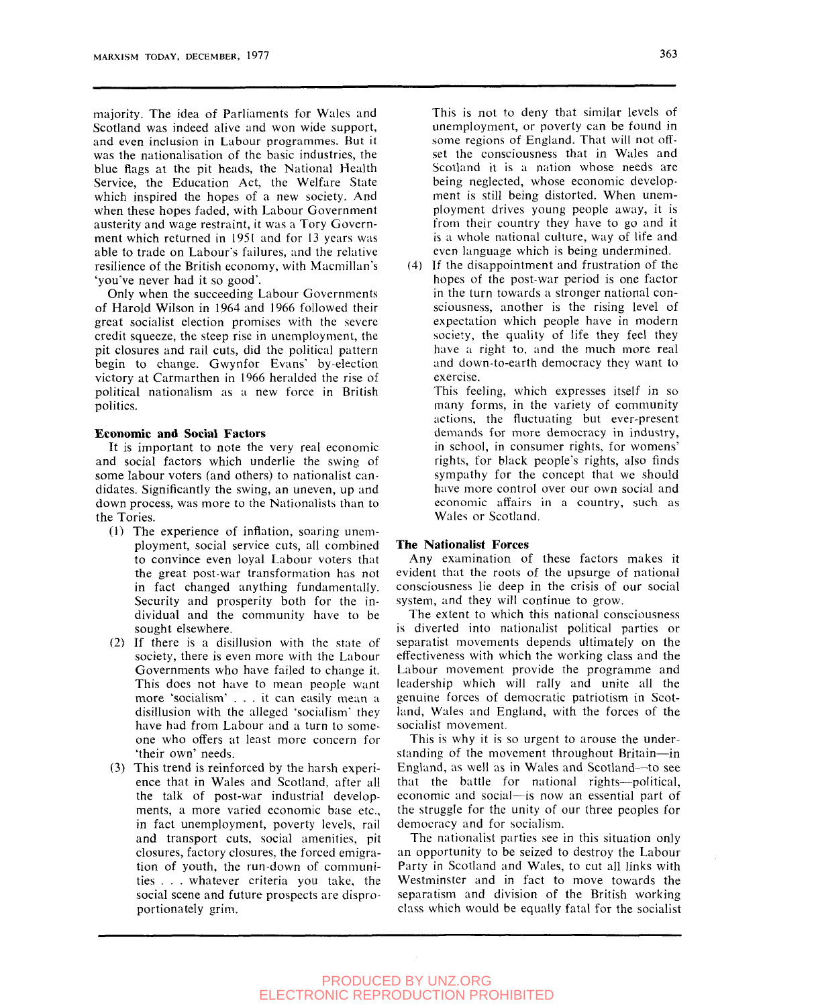majority. The idea of Parliaments for Wales and Scotland was indeed alive and won wide support, and even inclusion in Labour programmes. But it was the nationalisation of the basic industries, the blue flags at the pit heads, the National Health Service, the Education Act, the Welfare State which inspired the hopes of a new society. And when these hopes faded, with Labour Government austerity and wage restraint, it was a Tory Government which returned in 1951 and for 13 years was able to trade on Labour's failures, and the relative resilience of the British economy, with Macmillan's 'you've never had it so good'.

Only when the succeeding Labour Governments of Harold Wilson in 1964 and 1966 followed their great socialist election promises with the severe credit squeeze, the steep rise in unemployment, the pit closures and rail cuts, did the political pattern begin to change. Gwynfor Evans' by-election victory at Carmarthen in 1966 heralded the rise of political nationalism as a new force in British politics.

#### **Economic and Social Factors**

It is important to note the very real economic and social factors which underlie the swing of some labour voters (and others) to nationalist candidates. Significantly the swing, an uneven, up and down process, was more to the Nationalists than to the Tories.

- (1) The experience of inflation, soaring unemployment, social service cuts, all combined to convince even loyal Labour voters that the great post-war transformation has not in fact changed anything fundamentally. Security and prosperity both for the individual and the community have to be sought elsewhere.
- (2) If there is a disillusion with the state of society, there is even more with the Labour Governments who have failed to change it. This does not have to mean people want more 'socialism' .. . it can easily mean a disillusion with the alleged 'socialism' they have had from Labour and a turn to someone who offers at least more concern for 'their own' needs.
- (3) This trend is reinforced by the harsh experience that in Wales and Scotland, after all the talk of post-war industrial developments, a more varied economic base etc., in fact unemployment, poverty levels, rail and transport cuts, social amenities, pit closures, factory closures, the forced emigration of youth, the run-down of communities . . . whatever criteria you take, the social scene and future prospects are disproportionately grim.

This is not to deny that similar levels of unemployment, or poverty can be found in some regions of England. That will not oflset the consciousness that in Wales and Scotland it is a nation whose needs are being neglected, whose economic development is still being distorted. When unemployment drives young people away, it is from their country they have to go and it is a whole national culture, way of life and even language which is being undermined.

(4) If the disappointment and frustration of the hopes of the post-war period is one factor in the turn towards a stronger national consciousness, another is the rising level of expectation which people have in modern society, the quality of life they feel they have a right to, and the much more real and down-to-earth democracy they want to exercise.

This feeling, which expresses itself in so many forms, in the variety of community actions, the fluctuating but ever-present demands for more democracy in industry, in school, in consumer rights, for womens' rights, for black people's rights, also finds sympathy for the concept that we should have more control over our own social and economic affairs in a country, such as Wales or Scotland.

#### **The Nationalist Forces**

Any examination of these factors makes it evident that the roots of the upsurge of national consciousness lie deep in the crisis of our social system, and they will continue to grow.

The extent to which this national consciousness is diverted into nationalist political parties or separatist movements depends ultimately on the effectiveness with which the working class and the Labour movement provide the programme and leadership which will rally and unite all the genuine forces of democratic patriotism in Scotland, Wales and England, with the forces of the socialist movement.

This is why it is so urgent to arouse the understanding of the movement throughout Britain—in England, as well as in Wales and Scotland—to see that the battle for national rights—political, economic and social—is now an essential part of the struggle for the unity of our three peoples for democracy and for socialism.

The nationalist parties see in this situation only an opportunity to be seized to destroy the Labour Party in Scotland and Wales, to cut all links with Westminster and in fact to move towards the separatism and division of the British working class which would be equally fatal for the socialist

# PRODUCED BY UNZ.ORG ELECTRONIC REPRODUCTION PROHIBITED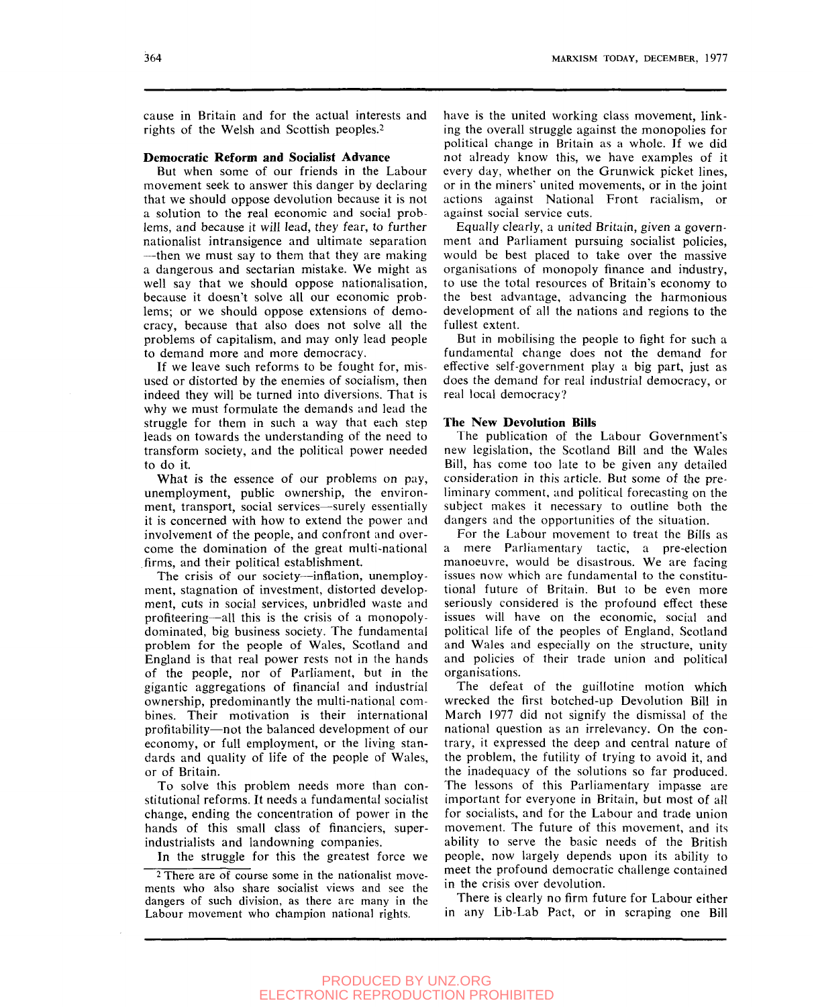cause in Britain and for the actual interests and rights of the Welsh and Scottish peoples.<sup>2</sup>

# **Democratic Reform and Socialist Advance**

But when some of our friends in the Labour movement seek to answer this danger by declaring that we should oppose devolution because it is not a solution to the real economic and social problems, and because it will lead, they fear, to further nationalist intransigence and ultimate separation —then we must say to them that they are making a dangerous and sectarian mistake. We might as well say that we should oppose nationalisation, because it doesn't solve all our economic problems; or we should oppose extensions of democracy, because that also does not solve all the problems of capitalism, and may only lead people to demand more and more democracy.

If we leave such reforms to be fought for, misused or distorted by the enemies of socialism, then indeed they will be turned into diversions. That is why we must formulate the demands and lead the struggle for them in such a way that each step leads on towards the understanding of the need to transform society, and the political power needed to do it.

What is the essence of our problems on pay, unemployment, public ownership, the environment, transport, social services—surely essentially it is concerned with how to extend the power and involvement of the people, and confront and overcome the domination of the great multi-national firms, and their political establishment.

The crisis of our society—inflation, unemployment, stagnation of investment, distorted development, cuts in social services, unbridled waste and profiteering—all this is the crisis of a monopolydominated, big business society. The fundamental problem for the people of Wales, Scotland and England is that real power rests not in the hands of the people, nor of Parliament, but in the gigantic aggregations of financial and industrial ownership, predominantly the multi-national combines. Their motivation is their international profitability—not the balanced development of our economy, or full employment, or the living standards and quality of life of the people of Wales, or of Britain.

To solve this problem needs more than constitutional reforms. It needs a fundamental socialist change, ending the concentration of power in the hands of this small class of financiers, superindustrialists and landowning companies.

In the struggle for this the greatest force we

have is the united working class movement, linking the overall struggle against the monopolies for political change in Britain as a whole. If we did not already know this, we have examples of it every day, whether on the Grunwick picket lines, or in the miners" united movements, or in the joint actions against National Front racialism, or against social service cuts.

Equally clearly, a united Britain, given a government and Parliament pursuing socialist policies, would be best placed to take over the massive organisations of monopoly finance and industry, to use the total resources of Britain's economy to the best advantage, advancing the harmonious development of all the nations and regions to the fullest extent.

But in mobilising the people to fight for such a fundamental change does not the demand for effective self-government play a big part, just as does the demand for real industrial democracy, or real local democracy?

#### **The New Devolution Bills**

The publication of the Labour Government's new legislation, the Scotland Bill and the Wales Bill, has come too late to be given any detailed consideration in this article. But some of the preliminary comment, and political forecasting on the subject makes it necessary to outline both the dangers and the opportunities of the situation.

For the Labour movement to treat the Bills as a mere Parliamentary tactic, a pre-election manoeuvre, would be disastrous. We are facing issues now which are fundamental to the constitutional future of Britain. But to be even more seriously considered is the profound effect these issues will have on the economic, social and political life of the peoples of England, Scotland and Wales and especially on the structure, unity and policies of their trade union and political organisations.

The defeat of the guillotine motion which wrecked the first botched-up Devolution Bill in March 1977 did not signify the dismissal of the national question as an irrelevancy. On the contrary, it expressed the deep and central nature of the problem, the futility of trying to avoid it, and the inadequacy of the solutions so far produced. The lessons of this Parliamentary impasse are important for everyone in Britain, but most of all for socialists, and for the Labour and trade union movement. The future of this movement, and its ability to serve the basic needs of the British people, now largely depends upon its ability to meet the profound democratic challenge contained in the crisis over devolution.

There is clearly no firm future for Labour either in any Lib-Lab Pact, or in scraping one Bill

<sup>&</sup>lt;sup>2</sup> There are of course some in the nationalist movements who also share socialist views and see the dangers of such division, as there are many in the Labour movement who champion national rights.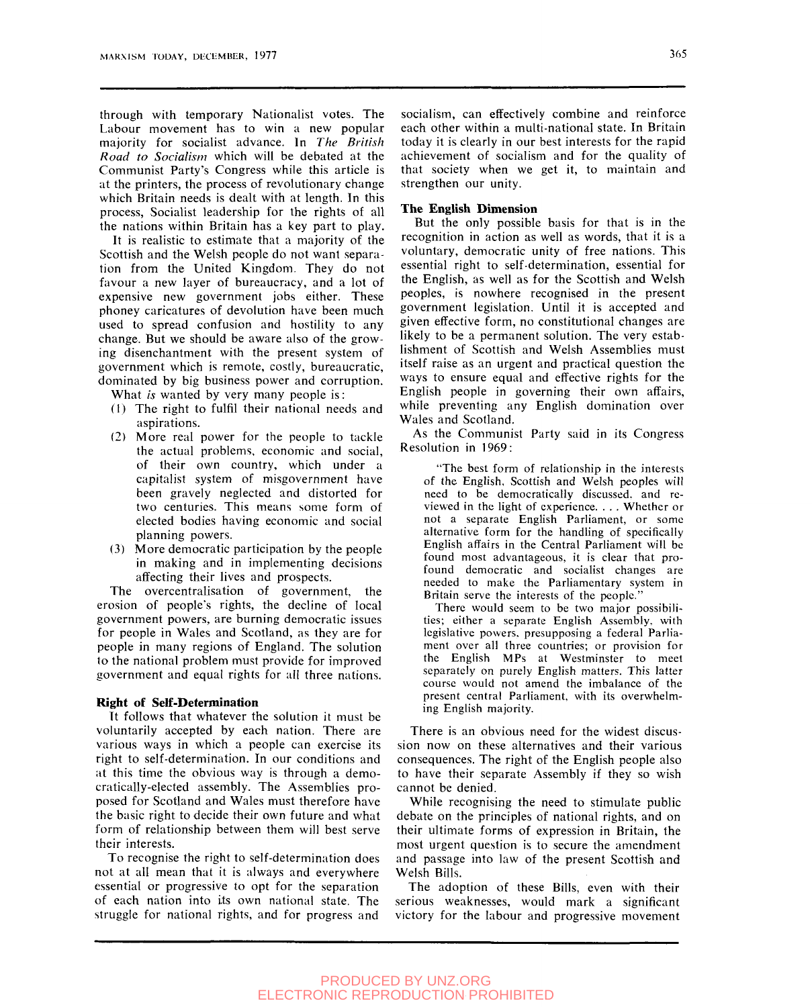through with temporary Nationalist votes. The Labour movement has to win a new popular majority for socialist advance. In *The British Road to Socialism* which will be debated at the Communist Party's Congress while this article is at the printers, the process of revolutionary change which Britain needs is dealt with at length. In this process, Socialist leadership for the rights of all the nations within Britain has a key part to play.

It is realistic to estimate that a majority of the Scottish and the Welsh people do not want separation from the United Kingdom. They do not favour a new layer of bureaucracy, and a lot of expensive new government jobs either. These phoney caricatures of devolution have been much used to spread confusion and hostility to any change. But we should be aware also of the growing disenchantment with the present system of government which is remote, costly, bureaucratic, dominated by big business power and corruption.

What *is* wanted by very many people is:

- (1) The right to fulfil their national needs and aspirations.
- (2) More real power for the people to tackle the actual problems, economic and social, of their own country, which under a capitalist system of misgovernment have been gravely neglected and distorted for two centuries. This means some form of elected bodies having economic and social planning powers.
- (3) More democratic participation by the people in making and in implementing decisions affecting their lives and prospects.

The overcentralisation of government, the erosion of people's rights, the decline of local government powers, are burning democratic issues for people in Wales and Scotland, as they are for people in many regions of England. The solution to the national problem must provide for improved government and equal rights for all three nations.

#### **Right of Self-Determination**

Tt follows that whatever the solution it must be voluntarily accepted by each nation. There are various ways in which a people can exercise its right to self-determination. In our conditions and at this time the obvious way is through a democratically-elected assembly. The Assemblies proposed for Scotland and Wales must therefore have the basic right to decide their own future and what form of relationship between them will best serve their interests.

To recognise the right to self-determination does not at all mean that it is always and everywhere essential or progressive to opt for the separation of each nation into its own national state. The struggle for national rights, and for progress and

socialism, can effectively combine and reinforce each other within a multi-national state. In Britain today it is clearly in our best interests for the rapid achievement of socialism and for the quality of that society when we get it, to maintain and strengthen our unity.

#### **The English Dimension**

But the only possible basis for that is in the recognition in action as well as words, that it is a voluntary, democratic unity of free nations. This essential right to self-determination, essential for the English, as well as for the Scottish and Welsh peoples, is nowhere recognised in the present government legislation. Until it is accepted and given effective form, no constitutional changes are likely to be a permanent solution. The very establishment of Scottish and Welsh Assemblies must itself raise as an urgent and practical question the ways to ensure equal and effective rights for the English people in governing their own affairs, while preventing any English domination over Wales and Scotland.

As the Communist Party said in its Congress Resolution in 1969:

'The best form of relationship in the interests of the English, Scottish and Welsh peoples will need to be democratically discussed, and reviewed in the light of experience. . . . Whether or not a separate English Parliament, or some alternative form for the handling of specifically English affairs in the Central Parliament will be found most advantageous, it is clear that profound democratic and socialist changes are needed to make the Parliamentary system in Britain serve the interests of the people."

There would seem to be two major possibilities; either a separate English Assembly, with legislative powers, presupposing a federal Parliament over all three countries; or provision for the English MPs at Westminster to meet separately on purely English matters. This latter course would not amend the imbalance of the present central Parliament, with its overwhelming English majority.

There is an obvious need for the widest discussion now on these alternatives and their various consequences. The right of the English people also to have their separate Assembly if they so wish cannot be denied.

While recognising the need to stimulate public debate on the principles of national rights, and on their ultimate forms of expression in Britain, the most urgent question is to secure the amendment and passage into law of the present Scottish and Welsh Bills.

The adoption of these Bills, even with their serious weaknesses, would mark a significant victory for the labour and progressive movement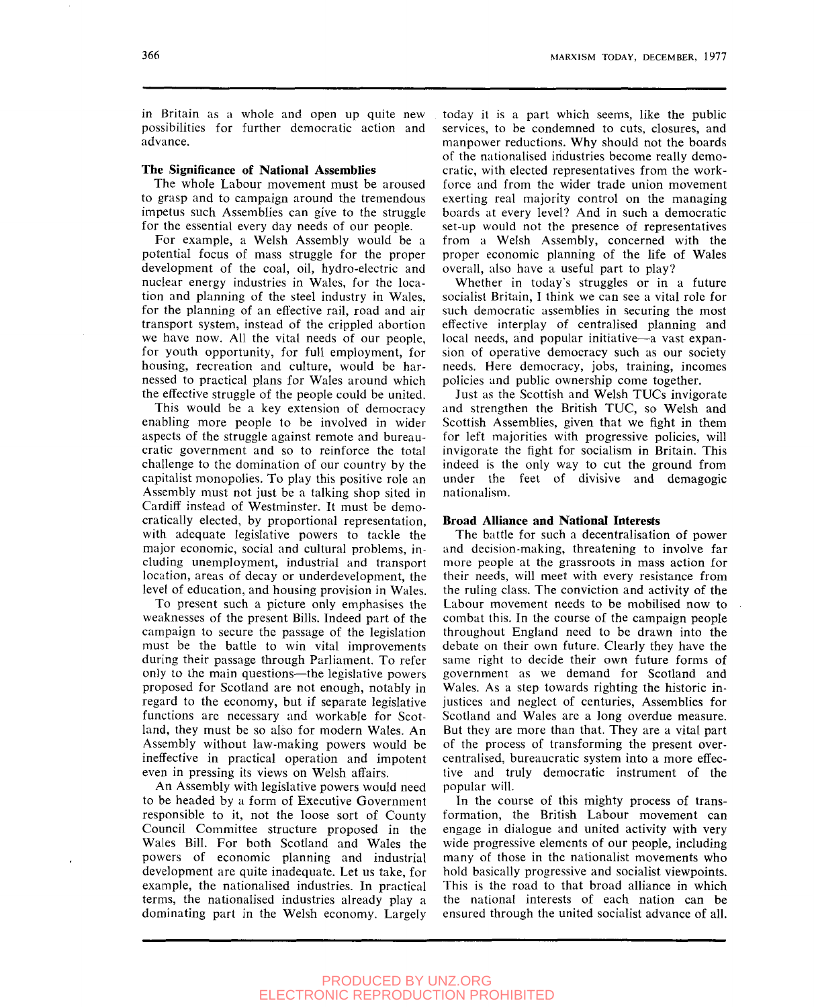in Britain as a whole and open up quite new possibilities for further democratic action and advance.

#### **The Significance of National Assemblies**

The whole Labour movement must be aroused to grasp and to campaign around the tremendous impetus such Assemblies can give to the struggle for the essential every day needs of our people.

For example, a Welsh Assembly would be a potential focus of mass struggle for the proper development of the coal, oil, hydro-electric and nuclear energy industries in Wales, for the location and planning of the steel industry in Wales, for the planning of an effective rail, road and air transport system, instead of the crippled abortion we have now. All the vital needs of our people, for youth opportunity, for full employment, for housing, recreation and culture, would be harnessed to practical plans for Wales around which the effective struggle of the people could be united.

This would be a key extension of democracy enabling more people to be involved in wider aspects of the struggle against remote and bureaucratic government and so to reinforce the total challenge to the domination of our country by the capitalist monopolies. To play this positive role an Assembly must not just be a talking shop sited in Cardiff instead of Westminster. It must be democratically elected, by proportional representation, with adequate legislative powers to tackle the major economic, social and cultural problems, including unemployment, industrial and transport location, areas of decay or underdevelopment, the level of education, and housing provision in Wales.

To present such a picture only emphasises the weaknesses of the present Bills. Indeed part of the campaign to secure the passage of the legislation must be the battle to win vital improvements during their passage through Parliament. To refer only to the main questions—the legislative powers proposed for Scotland are not enough, notably in regard to the economy, but if separate legislative functions are necessary and workable for Scotland, they must be so also for modern Wales. An Assembly without law-making powers would be ineffective in practical operation and impotent even in pressing its views on Welsh affairs.

An Assembly with legislative powers would need to be headed by a form of Executive Government responsible to it, not the loose sort of County Council Committee structure proposed in the Wales Bill. For both Scotland and Wales the powers of economic planning and industrial development are quite inadequate. Let us take, for example, the nationalised industries. In practical terms, the nationalised industries already play a dominating part in the Welsh economy. Largely today it is a part which seems, like the public services, to be condemned to cuts, closures, and manpower reductions. Why should not the boards of the nationalised industries become really democratic, with elected representatives from the workforce and from the wider trade union movement exerting real majority control on the managing boards at every level? And in such a democratic set-up would not the presence of representatives from a Welsh Assembly, concerned with the proper economic planning of the life of Wales overall, also have a useful part to play?

Whether in today's struggles or in a future socialist Britain, I think we can see a vital role for such democratic assemblies in securing the most effective interplay of centralised planning and local needs, and popular initiative—a vast expansion of operative democracy such as our society needs. Here democracy, jobs, training, incomes policies and public ownership come together.

Just as the Scottish and Welsh TUCs invigorate and strengthen the British TUC, so Welsh and Scottish Assemblies, given that we fight in them for left majorities with progressive policies, will invigorate the fight for socialism in Britain. This indeed is the only way to cut the ground from under the feet of divisive and demagogic nationalism.

#### **Broad Alliance and National Interests**

The battle for such a decentralisation of power and decision-making, threatening to involve far more people at the grassroots in mass action for their needs, will meet with every resistance from the ruling class. The conviction and activity of the Labour movement needs to be mobilised now to combat this. In the course of the campaign people throughout England need to be drawn into the debate on their own future. Clearly they have the same right to decide their own future forms of government as we demand for Scotland and Wales. As a step towards righting the historic injustices and neglect of centuries. Assemblies for Scotland and Wales are a long overdue measure. But they are more than that. They are a vital part of the process of transforming the present overcentralised, bureaucratic system into a more effective and truly democratic instrument of the popular will.

In the course of this mighty process of transformation, the British Labour movement can engage in dialogue and united activity with very wide progressive elements of our people, including many of those in the nationalist movements who hold basically progressive and socialist viewpoints. This is the road to that broad alliance in which the national interests of each nation can be ensured through the united socialist advance of all.